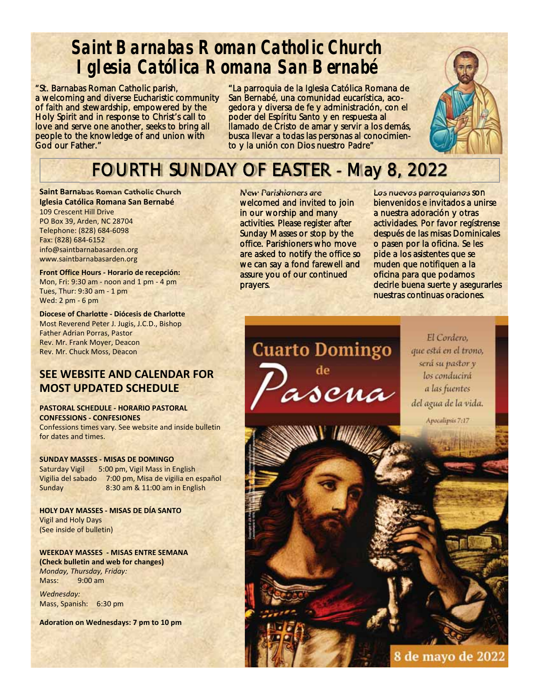## **Saint Barnabas Roman Catholic Church Iglesia Católica Romana San Bernabé**

"St. Barnabas Roman Catholic parish, a welcoming and diverse Eucharistic community of faith and stewardship, empowered by the Holy Spirit and in response to Christ's call to love and serve one another, seeks to bring all people to the knowledge of and union with God our Father."

"La parroquia de la Iglesia Católica Romana de San Bernabé, una comunidad eucarística, acogedora y diversa de fe y administración, con el poder del Espíritu Santo y en respuesta al llamado de Cristo de amar y servir a los demás, busca llevar a todas las personas al conocimiento y la unión con Dios nuestro Padre"



## FOURTH SUNDAY OF EASTER - May 8, 2022

**Saint Barnabas Roman Catholic Church Iglesia Católica Romana San Bernabé**  109 Crescent Hill Drive PO Box 39, Arden, NC 28704 Telephone: (828) 684‐6098 Fax: (828) 684‐6152 info@saintbarnabasarden.org www.saintbarnabasarden.org

**Front Office Hours ‐ Horario de recepción:**  Mon, Fri: 9:30 am ‐ noon and 1 pm ‐ 4 pm Tues, Thur: 9:30 am ‐ 1 pm Wed: 2 pm ‐ 6 pm

**Diocese of Charlotte ‐ Diócesis de Charlotte**  Most Reverend Peter J. Jugis, J.C.D., Bishop Father Adrian Porras, Pastor Rev. Mr. Frank Moyer, Deacon Rev. Mr. Chuck Moss, Deacon

#### **SEE WEBSITE AND CALENDAR FOR MOST UPDATED SCHEDULE**

#### **PASTORAL SCHEDULE ‐ HORARIO PASTORAL CONFESSIONS ‐ CONFESIONES**

Confessions times vary. See website and inside bulletin for dates and times.

**SUNDAY MASSES ‐ MISAS DE DOMINGO** Saturday Vigil 5:00 pm, Vigil Mass in English Vigilia del sabado 7:00 pm, Misa de vigilia en español Sunday 8:30 am & 11:00 am in English

**HOLY DAY MASSES ‐ MISAS DE DÍA SANTO**  Vigil and Holy Days (See inside of bulletin)

**WEEKDAY MASSES ‐ MISAS ENTRE SEMANA (Check bulletin and web for changes)**  *Monday, Thursday, Friday:*  Mass: 9:00 am

*Wednesday:*  Mass, Spanish: 6:30 pm

**Adoration on Wednesdays: 7 pm to 10 pm** 

New Parishioners are welcomed and invited to join in our worship and many activities. Please register after Sunday Masses or stop by the office. Parishioners who move are asked to notify the office so we can say a fond farewell and assure you of our continued prayers.

Los nuevos parroquianos son bienvenidos e invitados a unirse a nuestra adoración y otras actividades. Por favor regístrense después de las misas Dominicales o pasen por la oficina. Se les pide a los asistentes que se muden que notifiquen a la oficina para que podamos decirle buena suerte y asegurarles nuestras continuas oraciones.

**Cuarto Domingo** ascua

El Cordero. que está en el trono, será su pastor y los conducirá a las fuentes del agua de la vida.

Apocalipsis 7:17

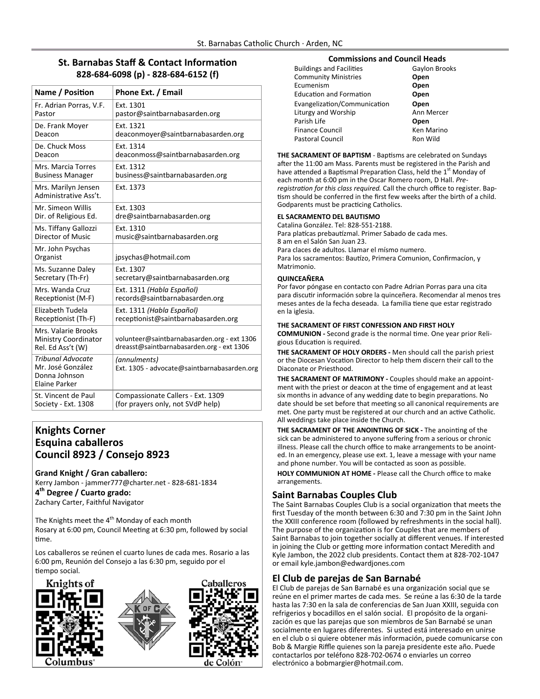#### **St. Barnabas Staff & Contact Information 828‐684‐6098 (p) ‐ 828‐684‐6152 (f)**

| Name / Position                                                                 | Phone Ext. / Email                                                                       |
|---------------------------------------------------------------------------------|------------------------------------------------------------------------------------------|
| Fr. Adrian Porras, V.F.                                                         | Ext. 1301                                                                                |
| Pastor                                                                          | pastor@saintbarnabasarden.org                                                            |
| De. Frank Moyer                                                                 | Ext. 1321                                                                                |
| Deacon                                                                          | deaconmoyer@saintbarnabasarden.org                                                       |
| De. Chuck Moss                                                                  | Ext. 1314                                                                                |
| Deacon                                                                          | deaconmoss@saintbarnabasarden.org                                                        |
| Mrs. Marcia Torres                                                              | Ext. 1312                                                                                |
| <b>Business Manager</b>                                                         | business@saintbarnabasarden.org                                                          |
| Mrs. Marilyn Jensen<br>Administrative Ass't.                                    | Ext. 1373                                                                                |
| Mr. Simeon Willis                                                               | Ext. 1303                                                                                |
| Dir. of Religious Ed.                                                           | dre@saintbarnabasarden.org                                                               |
| Ms. Tiffany Gallozzi                                                            | Ext. 1310                                                                                |
| Director of Music                                                               | music@saintbarnabasarden.org                                                             |
| Mr. John Psychas<br>Organist                                                    | jpsychas@hotmail.com                                                                     |
| Ms. Suzanne Daley                                                               | Ext. 1307                                                                                |
| Secretary (Th-Fr)                                                               | secretary@saintbarnabasarden.org                                                         |
| Mrs. Wanda Cruz                                                                 | Ext. 1311 (Habla Español)                                                                |
| Receptionist (M-F)                                                              | records@saintbarnabasarden.org                                                           |
| Elizabeth Tudela                                                                | Ext. 1311 (Habla Español)                                                                |
| Receptionist (Th-F)                                                             | receptionist@saintbarnabasarden.org                                                      |
| Mrs. Valarie Brooks<br><b>Ministry Coordinator</b><br>Rel. Ed Ass't (W)         | volunteer@saintbarnabasarden.org - ext 1306<br>dreasst@saintbarnabasarden.org - ext 1306 |
| <b>Tribunal Advocate</b><br>Mr. José González<br>Donna Johnson<br>Elaine Parker | (annulments)<br>Ext. 1305 - advocate@saintbarnabasarden.org                              |
| St. Vincent de Paul                                                             | Compassionate Callers - Ext. 1309                                                        |
| Society - Ext. 1308                                                             | (for prayers only, not SVdP help)                                                        |

#### **Knights Corner Esquina caballeros Council 8923 / Consejo 8923**

**Grand Knight / Gran caballero:**  Kerry Jambon ‐ jammer777@charter.net ‐ 828‐681‐1834 **4th Degree / Cuarto grado:**  Zachary Carter, Faithful Navigator

The Knights meet the  $4<sup>th</sup>$  Monday of each month Rosary at 6:00 pm, Council Meeting at 6:30 pm, followed by social Ɵme.

Los caballeros se reúnen el cuarto lunes de cada mes. Rosario a las 6:00 pm, Reunión del Consejo a las 6:30 pm, seguido por el tiempo social.







#### **Commissions and Council Heads**

| <b>Buildings and Facilities</b> | Gaylon Brooks |
|---------------------------------|---------------|
| <b>Community Ministries</b>     | Open          |
| Ecumenism                       | Open          |
| <b>Education and Formation</b>  | Open          |
| Evangelization/Communication    | Open          |
| Liturgy and Worship             | Ann Mercer    |
| Parish Life                     | Open          |
| Finance Council                 | Ken Marino    |
| <b>Pastoral Council</b>         | Ron Wild      |

THE SACRAMENT OF BAPTISM - Baptisms are celebrated on Sundays after the 11:00 am Mass. Parents must be registered in the Parish and have attended a Baptismal Preparation Class, held the 1<sup>st</sup> Monday of each month at 6:00 pm in the Oscar Romero room, D Hall. *Pre‐* registration for this class required. Call the church office to register. Baptism should be conferred in the first few weeks after the birth of a child. Godparents must be practicing Catholics.

#### **EL SACRAMENTO DEL BAUTISMO**

Catalina González. Tel: 828‐551‐2188. Para platícas prebautízmal. Primer Sabado de cada mes. 8 am en el Salón San Juan 23. Para claces de adultos. Llamar el mísmo numero. Para los sacramentos: Bautízo, Primera Comunion, Confirmacíon, y Matrimonio.

#### **QUINCEAÑERA**

Por favor póngase en contacto con Padre Adrian Porras para una cita para discutir información sobre la quinceñera. Recomendar al menos tres meses antes de la fecha deseada. La familia tiene que estar registrado en la iglesia.

#### **THE SACRAMENT OF FIRST CONFESSION AND FIRST HOLY**

**COMMUNION ‐** Second grade is the normal Ɵme. One year prior Reli‐ gious Education is required.

**THE SACRAMENT OF HOLY ORDERS ‐** Men should call the parish priest or the Diocesan Vocation Director to help them discern their call to the Diaconate or Priesthood.

**THE SACRAMENT OF MATRIMONY ‐** Couples should make an appoint‐ ment with the priest or deacon at the time of engagement and at least six months in advance of any wedding date to begin preparations. No date should be set before that meeting so all canonical requirements are met. One party must be registered at our church and an active Catholic. All weddings take place inside the Church.

**THE SACRAMENT OF THE ANOINTING OF SICK - The anointing of the** sick can be administered to anyone suffering from a serious or chronic illness. Please call the church office to make arrangements to be anoint‐ ed. In an emergency, please use ext. 1, leave a message with your name and phone number. You will be contacted as soon as possible.

**HOLY COMMUNION AT HOME ‐** Please call the Church office to make arrangements.

#### **Saint Barnabas Couples Club**

The Saint Barnabas Couples Club is a social organization that meets the first Tuesday of the month between 6:30 and 7:30 pm in the Saint John the XXIII conference room (followed by refreshments in the social hall). The purpose of the organization is for Couples that are members of Saint Barnabas to join together socially at different venues. If interested in joining the Club or getting more information contact Meredith and Kyle Jambon, the 2022 club presidents. Contact them at 828‐702‐1047 or email kyle.jambon@edwardjones.com

#### **El Club de parejas de San Barnabé**

El Club de parejas de San Barnabé es una organización social que se reúne en el primer martes de cada mes. Se reúne a las 6:30 de la tarde hasta las 7:30 en la sala de conferencias de San Juan XXIII, seguida con refrigerios y bocadillos en el salón social. El propósito de la organi‐ zación es que las parejas que son miembros de San Barnabé se unan socialmente en lugares diferentes. Si usted está interesado en unirse en el club o si quiere obtener más información, puede comunicarse con Bob & Margie Riffle quienes son la pareja presidente este año. Puede contactarlos por teléfono 828‐702‐0674 o enviarles un correo electrónico a bobmargier@hotmail.com.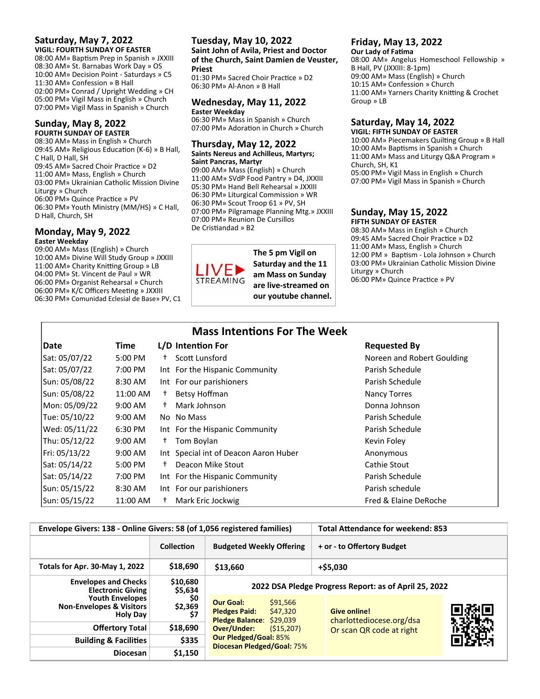#### **Saturday, May 7, 2022 VIGIL: FOURTH SUNDAY OF EASTER**

08:00 AM» Baptism Prep in Spanish » JXXIII 08:30 AM» St. Barnabas Work Day » OS 10:00 AM» Decision Point ‐ Saturdays » C5 11:30 AM» Confession » B Hall 02:00 PM» Conrad / Upright Wedding » CH 05:00 PM» Vigil Mass in English » Church 07:00 PM» Vigil Mass in Spanish » Church

#### **Sunday, May 8, 2022 FOURTH SUNDAY OF EASTER**

08:30 AM» Mass in English » Church 09:45 AM» Religious Education (K-6) » B Hall, C Hall, D Hall, SH 09:45 AM» Sacred Choir Practice » D2 11:00 AM» Mass, English » Church 03:00 PM» Ukrainian Catholic Mission Divine Liturgy » Church 06:00 PM» Quince Practice » PV 06:30 PM» Youth Ministry (MM/HS) » C Hall, D Hall, Church, SH

#### **Monday, May 9, 2022 Easter Weekday**

09:00 AM» Mass (English) » Church 10:00 AM» Divine Will Study Group » JXXIII 11:00 AM» Charity Knitting Group » LB 04:00 PM» St. Vincent de Paul » WR 06:00 PM» Organist Rehearsal » Church 06:00 PM» K/C Officers Meeting » JXXIII 06:30 PM» Comunidad Eclesial de Base» PV, C1

#### **Tuesday, May 10, 2022 Saint John of Avila, Priest and Doctor of the Church, Saint Damien de Veuster, Priest**

01:30 PM» Sacred Choir Practice » D2 06:30 PM» Al‐Anon » B Hall

#### **Wednesday, May 11, 2022 Easter Weekday**

06:30 PM» Mass in Spanish » Church 07:00 PM» Adoration in Church » Church

#### **Thursday, May 12, 2022 Saints Nereus and Achilleus, Martyrs; Saint Pancras, Martyr**

09:00 AM» Mass (English) » Church 11:00 AM» SVdP Food Pantry » D4, JXXIII 05:30 PM» Hand Bell Rehearsal » JXXIII 06:30 PM» Liturgical Commission » WR 06:30 PM» Scout Troop 61 » PV, SH 07:00 PM» Pilgramage Planning Mtg.» JXXIII 07:00 PM» Reunion De Cursillos De Cristiandad » B2



**The 5 pm Vigil on Saturday and the 11 am Mass on Sunday are live‐streamed on our youtube channel.** 

#### **Friday, May 13, 2022**

**Our Lady of FaƟma**  08:00 AM» Angelus Homeschool Fellowship » B Hall, PV (JXXIII: 8‐1pm) 09:00 AM» Mass (English) » Church 10:15 AM» Confession » Church 11:00 AM» Yarners Charity Knitting & Crochet Group » LB

#### **Saturday, May 14, 2022**

**VIGIL: FIFTH SUNDAY OF EASTER**  10:00 AM» Piecemakers Quilting Group » B Hall 10:00 AM» Baptisms in Spanish » Church 11:00 AM» Mass and Liturgy Q&A Program » Church, SH, K1 05:00 PM» Vigil Mass in English » Church 07:00 PM» Vigil Mass in Spanish » Church

#### **Sunday, May 15, 2022 FIFTH SUNDAY OF EASTER**

08:30 AM» Mass in English » Church 09:45 AM» Sacred Choir Practice » D2 11:00 AM» Mass, English » Church 12:00 PM » Baptism - Lola Johnson » Church 03:00 PM» Ukrainian Catholic Mission Divine Liturgy » Church 06:00 PM» Quince Practice » PV

| <b>Mass Intentions For The Week</b> |                   |      |                                       |                            |
|-------------------------------------|-------------------|------|---------------------------------------|----------------------------|
| Date                                | Time              |      | L/D Intention For                     | <b>Requested By</b>        |
| Sat: 05/07/22                       | 5:00 PM           | $^+$ | Scott Lunsford                        | Noreen and Robert Goulding |
| Sat: 05/07/22                       | 7:00 PM           |      | Int For the Hispanic Community        | Parish Schedule            |
| Sun: 05/08/22                       | 8:30 AM           |      | Int For our parishioners              | Parish Schedule            |
| Sun: 05/08/22                       | 11:00 AM          | Ť.   | Betsy Hoffman                         | <b>Nancy Torres</b>        |
| Mon: 05/09/22                       | $9:00 \text{ AM}$ | t.   | Mark Johnson                          | Donna Johnson              |
| Tue: 05/10/22                       | $9:00$ AM         |      | No No Mass                            | Parish Schedule            |
| Wed: 05/11/22                       | 6:30 PM           |      | Int For the Hispanic Community        | Parish Schedule            |
| Thu: 05/12/22                       | $9:00$ AM         | $^+$ | Tom Boylan                            | Kevin Foley                |
| Fri: 05/13/22                       | $9:00$ AM         |      | Int Special int of Deacon Aaron Huber | Anonymous                  |
| Sat: 05/14/22                       | 5:00 PM           | Ť.   | Deacon Mike Stout                     | Cathie Stout               |
| Sat: 05/14/22                       | 7:00 PM           |      | Int For the Hispanic Community        | Parish Schedule            |
| Sun: 05/15/22                       | 8:30 AM           |      | Int For our parishioners              | Parish schedule            |
| Sun: 05/15/22                       | 11:00 AM          | Ť.   | Mark Eric Jockwig                     | Fred & Elaine DeRoche      |

| Envelope Givers: 138 - Online Givers: 58 (of 1,056 registered families)          |                       |                                                                                              |                                                       | <b>Total Attendance for weekend: 853</b>        |  |  |
|----------------------------------------------------------------------------------|-----------------------|----------------------------------------------------------------------------------------------|-------------------------------------------------------|-------------------------------------------------|--|--|
|                                                                                  | Collection            | <b>Budgeted Weekly Offering</b>                                                              |                                                       | + or - to Offertory Budget                      |  |  |
| Totals for Apr. 30-May 1, 2022                                                   | \$18,690              | \$13,660                                                                                     |                                                       | $+$ \$5,030                                     |  |  |
| <b>Envelopes and Checks</b><br><b>Electronic Giving</b>                          | \$10,680<br>\$5,634   |                                                                                              | 2022 DSA Pledge Progress Report: as of April 25, 2022 |                                                 |  |  |
| <b>Youth Envelopes</b><br><b>Non-Envelopes &amp; Visitors</b><br><b>Holy Day</b> | \$0<br>\$2,369<br>\$7 | <b>Our Goal:</b><br>\$91,566<br>\$47,320<br><b>Pledges Paid:</b><br>Pledge Balance: \$29,039 |                                                       | <b>Give online!</b><br>charlottediocese.org/dsa |  |  |
| <b>Offertory Total</b>                                                           | \$18,690              | Over/Under:<br>(515, 207)                                                                    |                                                       | Or scan QR code at right                        |  |  |
| <b>Building &amp; Facilities</b>                                                 | \$335                 | <b>Our Pledged/Goal: 85%</b><br>Diocesan Pledged/Goal: 75%                                   |                                                       |                                                 |  |  |
| <b>Diocesan</b>                                                                  | \$1,150               |                                                                                              |                                                       |                                                 |  |  |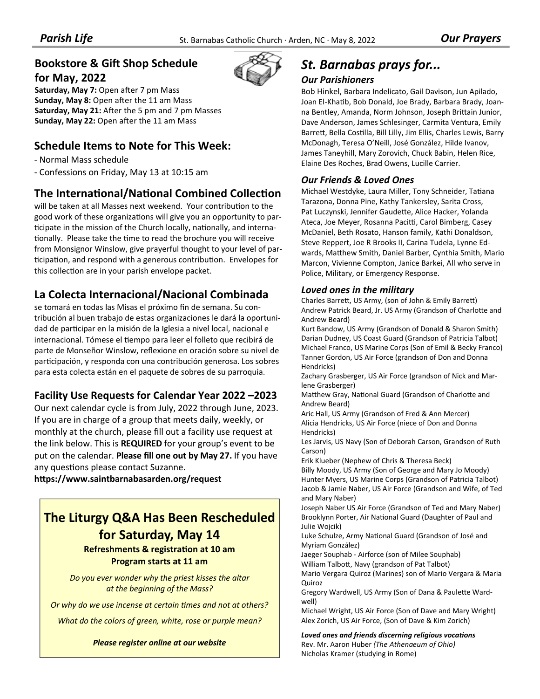#### **Bookstore & Gift Shop Schedule for May, 2022**

Saturday, May 7: Open after 7 pm Mass **Sunday, May 8: Open after the 11 am Mass** Saturday, May 21: After the 5 pm and 7 pm Masses Sunday, May 22: Open after the 11 am Mass

#### **Schedule Items to Note for This Week:**

‐ Normal Mass schedule

‐ Confessions on Friday, May 13 at 10:15 am

#### **The International/National Combined Collection**

will be taken at all Masses next weekend. Your contribution to the good work of these organizations will give you an opportunity to participate in the mission of the Church locally, nationally, and internationally. Please take the time to read the brochure you will receive from Monsignor Winslow, give prayerful thought to your level of par‐ ticipation, and respond with a generous contribution. Envelopes for this collection are in your parish envelope packet.

#### **La Colecta Internacional/Nacional Combinada**

se tomará en todas las Misas el próximo fin de semana. Su con‐ tribución al buen trabajo de estas organizaciones le dará la oportuni‐ dad de participar en la misión de la Iglesia a nivel local, nacional e internacional. Tómese el tiempo para leer el folleto que recibirá de parte de Monseñor Winslow, reflexione en oración sobre su nivel de participación, y responda con una contribución generosa. Los sobres para esta colecta están en el paquete de sobres de su parroquia.

#### **Facility Use Requests for Calendar Year 2022 –2023**

Our next calendar cycle is from July, 2022 through June, 2023. If you are in charge of a group that meets daily, weekly, or monthly at the church, please fill out a facility use request at the link below. This is **REQUIRED** for your group's event to be put on the calendar. **Please fill one out by May 27.** If you have any questions please contact Suzanne.

**hƩps://www.saintbarnabasarden.org/request**

#### **The Liturgy Q&A Has Been Rescheduled for Saturday, May 14**

**Refreshments & registraƟon at 10 am Program starts at 11 am**

*Do you ever wonder why the priest kisses the altar at the beginning of the Mass?* 

*Or why do we use incense at certain times and not at others?* 

*What do the colors of green, white, rose or purple mean?* 

*Please register online at our website*



## *St. Barnabas prays for...*

#### *Our Parishioners*

Bob Hinkel, Barbara Indelicato, Gail Davison, Jun Apilado, Joan El-Khatib, Bob Donald, Joe Brady, Barbara Brady, Joanna Bentley, Amanda, Norm Johnson, Joseph Brittain Junior, Dave Anderson, James Schlesinger, Carmita Ventura, Emily Barrett, Bella Costilla, Bill Lilly, Jim Ellis, Charles Lewis, Barry McDonagh, Teresa O'Neill, José González, Hilde Ivanov, James Taneyhill, Mary Zorovich, Chuck Babin, Helen Rice, Elaine Des Roches, Brad Owens, Lucille Carrier.

#### *Our Friends & Loved Ones*

Michael Westdyke, Laura Miller, Tony Schneider, Tatiana Tarazona, Donna Pine, Kathy Tankersley, Sarita Cross, Pat Luczynski, Jennifer Gaudette, Alice Hacker, Yolanda Ateca, Joe Meyer, Rosanna Pacitti, Carol Bimberg, Casey McDaniel, Beth Rosato, Hanson family, Kathi Donaldson, Steve Reppert, Joe R Brooks II, Carina Tudela, Lynne Ed‐ wards, Matthew Smith, Daniel Barber, Cynthia Smith, Mario Marcon, Vivienne Compton, Janice Barkei, All who serve in Police, Military, or Emergency Response.

#### *Loved ones in the military*

Charles Barrett, US Army, (son of John & Emily Barrett) Andrew Patrick Beard, Jr. US Army (Grandson of Charlotte and Andrew Beard)

Kurt Bandow, US Army (Grandson of Donald & Sharon Smith) Darian Dudney, US Coast Guard (Grandson of Patricia Talbot) Michael Franco, US Marine Corps (Son of Emil & Becky Franco) Tanner Gordon, US Air Force (grandson of Don and Donna Hendricks)

Zachary Grasberger, US Air Force (grandson of Nick and Mar‐ lene Grasberger)

Matthew Gray, National Guard (Grandson of Charlotte and Andrew Beard)

Aric Hall, US Army (Grandson of Fred & Ann Mercer) Alicia Hendricks, US Air Force (niece of Don and Donna Hendricks)

Les Jarvis, US Navy (Son of Deborah Carson, Grandson of Ruth Carson)

Erik Klueber (Nephew of Chris & Theresa Beck) Billy Moody, US Army (Son of George and Mary Jo Moody) Hunter Myers, US Marine Corps (Grandson of Patricia Talbot)

Jacob & Jamie Naber, US Air Force (Grandson and Wife, of Ted and Mary Naber)

Joseph Naber US Air Force (Grandson of Ted and Mary Naber) Brooklynn Porter, Air National Guard (Daughter of Paul and Julie Wojcik)

Luke Schulze, Army National Guard (Grandson of José and Myriam González)

Jaeger Souphab ‐ Airforce (son of Milee Souphab) William TalboƩ, Navy (grandson of Pat Talbot)

Mario Vergara Quiroz (Marines) son of Mario Vergara & Maria Quiroz

Gregory Wardwell, US Army (Son of Dana & Paulette Wardwell)

Michael Wright, US Air Force (Son of Dave and Mary Wright) Alex Zorich, US Air Force, (Son of Dave & Kim Zorich)

*Loved ones and friends discerning religious vocaƟons*

Rev. Mr. Aaron Huber *(The Athenaeum of Ohio)*  Nicholas Kramer (studying in Rome)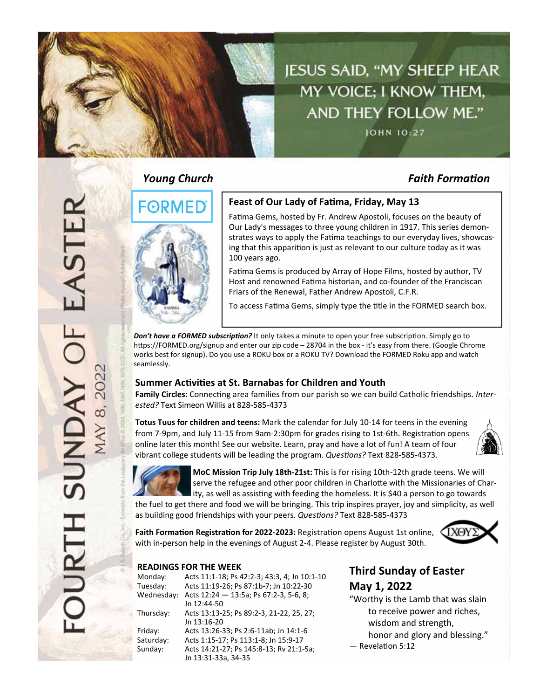

#### *Young Church Faith FormaƟon*



#### **Feast of Our Lady of FaƟma, Friday, May 13**

Fatima Gems, hosted by Fr. Andrew Apostoli, focuses on the beauty of Our Lady's messages to three young children in 1917. This series demon‐ strates ways to apply the Fatima teachings to our everyday lives, showcasing that this apparition is just as relevant to our culture today as it was 100 years ago.

Fatima Gems is produced by Array of Hope Films, hosted by author, TV Host and renowned Fatima historian, and co-founder of the Franciscan Friars of the Renewal, Father Andrew Apostoli, C.F.R.

To access Fatima Gems, simply type the title in the FORMED search box.

*Don't have a FORMED subscription?* It only takes a minute to open your free subscription. Simply go to https://FORMED.org/signup and enter our zip code – 28704 in the box - it's easy from there. (Google Chrome works best for signup). Do you use a ROKU box or a ROKU TV? Download the FORMED Roku app and watch seamlessly.

#### **Summer AcƟviƟes at St. Barnabas for Children and Youth**

Family Circles: Connecting area families from our parish so we can build Catholic friendships. *Interested?* Text Simeon Willis at 828‐585‐4373

**Totus Tuus for children and teens:** Mark the calendar for July 10‐14 for teens in the evening from 7-9pm, and July 11-15 from 9am-2:30pm for grades rising to 1st-6th. Registration opens online later this month! See our website. Learn, pray and have a lot of fun! A team of four vibrant college students will be leading the program. Questions? Text 828-585-4373.





**MoC Mission Trip July 18th‐21st:** This is for rising 10th‐12th grade teens. We will serve the refugee and other poor children in Charlotte with the Missionaries of Charity, as well as assisting with feeding the homeless. It is \$40 a person to go towards the fuel to get there and food we will be bringing. This trip inspires prayer, joy and simplicity, as well

as building good friendships with your peers. *QuesƟons?* Text 828‐585‐4373

**Faith FormaƟon RegistraƟon for 2022‐2023:** RegistraƟon opens August 1st online, with in-person help in the evenings of August 2-4. Please register by August 30th.



#### **READINGS FOR THE WEEK**

| Acts 11:1-18; Ps 42:2-3; 43:3, 4; Jn 10:1-10 |
|----------------------------------------------|
| Acts 11:19-26; Ps 87:1b-7; Jn 10:22-30       |
| Acts 12:24 - 13:5a; Ps 67:2-3, 5-6, 8;       |
| Jn 12:44-50                                  |
| Acts 13:13-25; Ps 89:2-3, 21-22, 25, 27;     |
| Jn 13:16-20                                  |
| Acts 13:26-33; Ps 2:6-11ab; Jn 14:1-6        |
| Acts 1:15-17; Ps 113:1-8; Jn 15:9-17         |
| Acts 14:21-27; Ps 145:8-13; Rv 21:1-5a;      |
| Jn 13:31-33a, 34-35                          |
|                                              |

#### **Third Sunday of Easter May 1, 2022**

"Worthy is the Lamb that was slain to receive power and riches, wisdom and strength, honor and glory and blessing."

- Revelation 5:12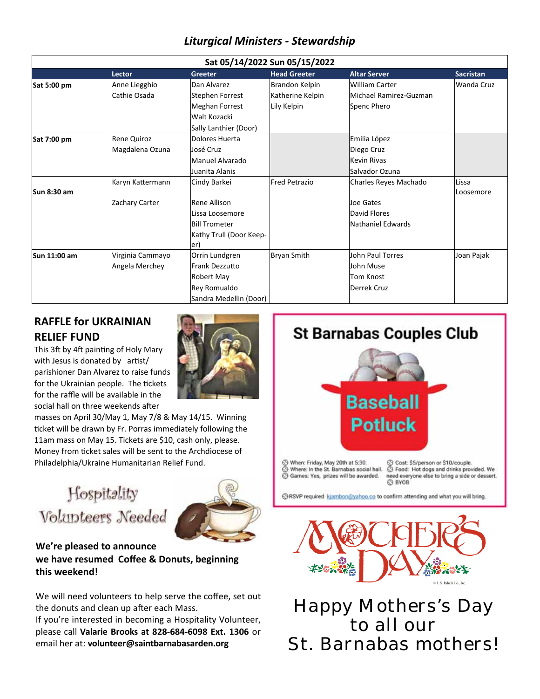#### *Liturgical Ministers ‐ Stewardship*

| Sat 05/14/2022 Sun 05/15/2022 |                  |                         |                      |                        |                   |
|-------------------------------|------------------|-------------------------|----------------------|------------------------|-------------------|
|                               | <b>Lector</b>    | Greeter                 | <b>Head Greeter</b>  | <b>Altar Server</b>    | <b>Sacristan</b>  |
| Sat 5:00 pm                   | Anne Liegghio    | Dan Alvarez             | Brandon Kelpin       | <b>William Carter</b>  | <b>Wanda Cruz</b> |
|                               | Cathie Osada     | Stephen Forrest         | Katherine Kelpin     | Michael Ramirez-Guzman |                   |
|                               |                  | <b>Meghan Forrest</b>   | Lily Kelpin          | Spenc Phero            |                   |
|                               |                  | Walt Kozacki            |                      |                        |                   |
|                               |                  | Sally Lanthier (Door)   |                      |                        |                   |
| Sat 7:00 pm                   | Rene Quiroz      | Dolores Huerta          |                      | Emilia López           |                   |
|                               | Magdalena Ozuna  | José Cruz               |                      | Diego Cruz             |                   |
|                               |                  | Manuel Alvarado         |                      | <b>Kevin Rivas</b>     |                   |
|                               |                  | Juanita Alanis          |                      | Salvador Ozuna         |                   |
|                               | Karyn Kattermann | Cindy Barkei            | <b>Fred Petrazio</b> | Charles Reyes Machado  | Lissa             |
| Sun 8:30 am                   |                  |                         |                      |                        | Loosemore         |
|                               | Zachary Carter   | Rene Allison            |                      | Joe Gates              |                   |
|                               |                  | lLissa Loosemore        |                      | David Flores           |                   |
|                               |                  | <b>Bill Trometer</b>    |                      | Nathaniel Edwards      |                   |
|                               |                  | Kathy Trull (Door Keep- |                      |                        |                   |
|                               |                  | er)                     |                      |                        |                   |
| Sun 11:00 am                  | Virginia Cammayo | Orrin Lundgren          | <b>Bryan Smith</b>   | John Paul Torres       | Joan Pajak        |
|                               | Angela Merchey   | Frank Dezzutto          |                      | John Muse              |                   |
|                               |                  | Robert May              |                      | <b>Tom Knost</b>       |                   |
|                               |                  | Rey Romualdo            |                      | Derrek Cruz            |                   |
|                               |                  | Sandra Medellin (Door)  |                      |                        |                   |

#### **RAFFLE for UKRAINIAN RELIEF FUND**

This 3ft by 4ft painting of Holy Mary with Jesus is donated by artist/ parishioner Dan Alvarez to raise funds for the Ukrainian people. The tickets for the raffle will be available in the social hall on three weekends after

masses on April 30/May 1, May 7/8 & May 14/15. Winning ticket will be drawn by Fr. Porras immediately following the 11am mass on May 15. Tickets are \$10, cash only, please. Money from ticket sales will be sent to the Archdiocese of Philadelphia/Ukraine Humanitarian Relief Fund.

## Hospitality Volunteers Needed



#### **We're pleased to announce we have resumed Coffee & Donuts, beginning this weekend!**

We will need volunteers to help serve the coffee, set out the donuts and clean up after each Mass.

If you're interested in becoming a Hospitality Volunteer, please call **Valarie Brooks at 828‐684‐6098 Ext. 1306** or email her at: **volunteer@saintbarnabasarden.org**

## **St Barnabas Couples Club**



When: Friday, May 20th at 5:30. ◯ Where: In the St. Barnabas social hall.<br>◯ Games: Yes, prizes will be awarded.

S Cost: \$5/person or \$10/couple.<br>S Food: Hot dogs and drinks provided. We need everyone else to bring a side or dessert. **O** BYOB

ORSVP required kjambon@yahoo.co to confirm attending and what you will bring.



Happy Mothers's Day to all our St. Barnabas mothers!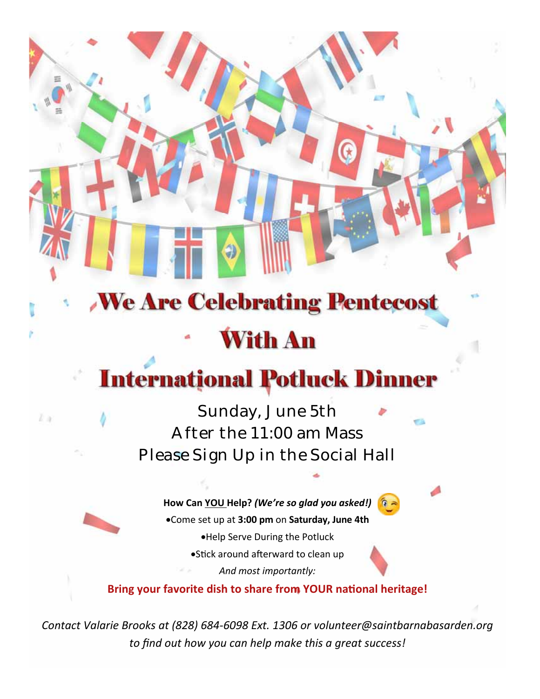# **We Are Celebrating Pentecost With An**

## **International Potluck Dinner**

## Sunday, June 5th After the 11:00 am Mass Please Sign Up in the Social Hall

L a

**How Can YOU Help?** *(We're so glad you asked!)* Come set up at **3:00 pm** on **Saturday, June 4th** Help Serve During the Potluck • Stick around afterward to clean up *And most importantly:* 

**Bring your favorite dish to share from YOUR national heritage!** 

*Contact Valarie Brooks at (828) 684‐6098 Ext. 1306 or volunteer@saintbarnabasarden.org to find out how you can help make this a great success!*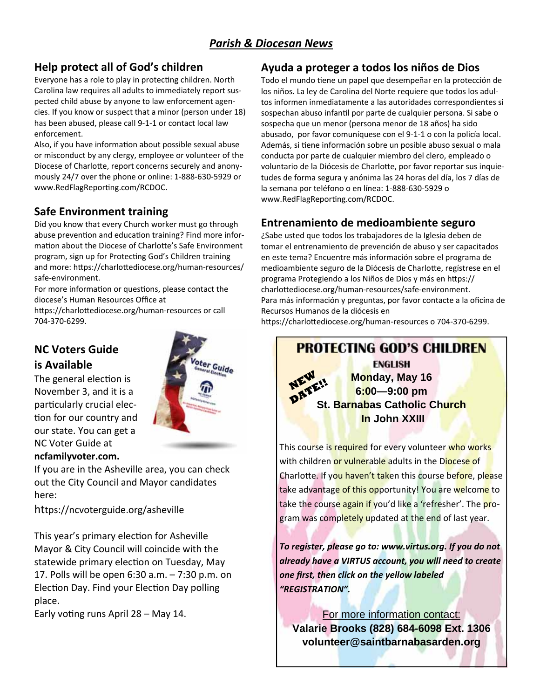#### *Parish & Diocesan News*

#### **Help protect all of God's children**

Everyone has a role to play in protecting children. North Carolina law requires all adults to immediately report sus‐ pected child abuse by anyone to law enforcement agen‐ cies. If you know or suspect that a minor (person under 18) has been abused, please call 9-1-1 or contact local law enforcement.

Also, if you have information about possible sexual abuse or misconduct by any clergy, employee or volunteer of the Diocese of Charlotte, report concerns securely and anonymously 24/7 over the phone or online: 1‐888‐630‐5929 or www.RedFlagReporting.com/RCDOC.

#### **Safe Environment training**

Did you know that every Church worker must go through abuse prevention and education training? Find more information about the Diocese of Charlotte's Safe Environment program, sign up for Protecting God's Children training and more: https://charlottediocese.org/human-resources/ safe‐environment.

For more information or questions, please contact the diocese's Human Resources Office at

https://charlottediocese.org/human-resources or call 704‐370‐6299.

#### **NC Voters Guide is Available**

The general election is November 3, and it is a particularly crucial election for our country and our state. You can get a NC Voter Guide at **ncfamilyvoter.com.**

# ter Guide

If you are in the Asheville area, you can check out the City Council and Mayor candidates here:

https://ncvoterguide.org/asheville

This year's primary election for Asheville Mayor & City Council will coincide with the statewide primary election on Tuesday, May 17. Polls will be open 6:30 a.m. – 7:30 p.m. on Election Day. Find your Election Day polling place.

Early voting runs April 28 – May 14.

#### **Ayuda a proteger a todos los niños de Dios**

Todo el mundo tiene un papel que desempeñar en la protección de los niños. La ley de Carolina del Norte requiere que todos los adul‐ tos informen inmediatamente a las autoridades correspondientes si sospechan abuso infantil por parte de cualquier persona. Si sabe o sospecha que un menor (persona menor de 18 años) ha sido abusado, por favor comuníquese con el 9‐1‐1 o con la policía local. Además, si tiene información sobre un posible abuso sexual o mala conducta por parte de cualquier miembro del clero, empleado o voluntario de la Diócesis de Charlotte, por favor reportar sus inquietudes de forma segura y anónima las 24 horas del día, los 7 días de la semana por teléfono o en línea: 1‐888‐630‐5929 o www.RedFlagReporting.com/RCDOC.

#### **Entrenamiento de medioambiente seguro**

¿Sabe usted que todos los trabajadores de la Iglesia deben de tomar el entrenamiento de prevención de abuso y ser capacitados en este tema? Encuentre más información sobre el programa de medioambiente seguro de la Diócesis de Charlotte, regístrese en el programa Protegiendo a los Niños de Dios y más en https:// charlottediocese.org/human-resources/safe-environment. Para más información y preguntas, por favor contacte a la oficina de Recursos Humanos de la diócesis en

https://charlottediocese.org/human-resources o 704-370-6299.

## **PROTECTING GOD'S CHILDREN ENGLISH Monday, May 16 6:00—9:00 pm St. Barnabas Catholic Church In John XXIII**  This course is required for every volunteer who works

with children or vulnerable adults in the Diocese of Charlotte. If you haven't taken this course before, please take advantage of this opportunity! You are welcome to take the course again if you'd like a 'refresher'. The program was completely updated at the end of last year.

*To register, please go to: www.virtus.org. If you do not already have a VIRTUS account, you will need to create one first, then click on the yellow labeled "REGISTRATION".*

For more information contact: **Valarie Brooks (828) 684-6098 Ext. 1306 volunteer@saintbarnabasarden.org**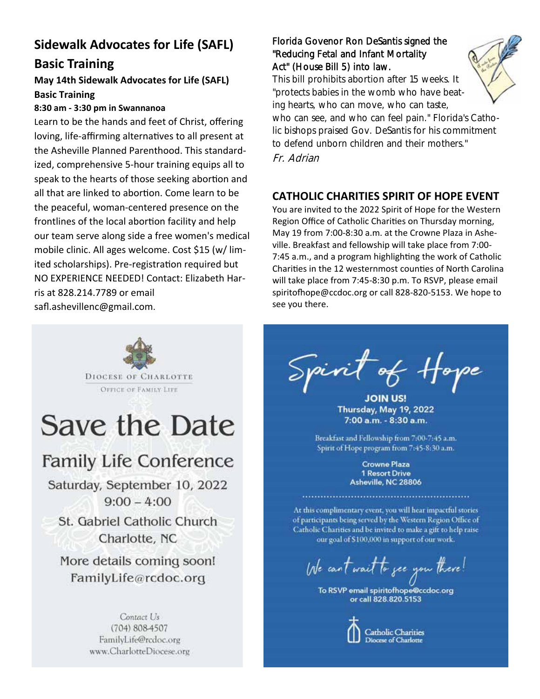## **Sidewalk Advocates for Life (SAFL) Basic Training**

#### **May 14th Sidewalk Advocates for Life (SAFL) Basic Training**

#### **8:30 am ‐ 3:30 pm in Swannanoa**

Learn to be the hands and feet of Christ, offering loving, life-affirming alternatives to all present at the Asheville Planned Parenthood. This standard‐ ized, comprehensive 5‐hour training equips all to speak to the hearts of those seeking abortion and all that are linked to abortion. Come learn to be the peaceful, woman‐centered presence on the frontlines of the local abortion facility and help our team serve along side a free women's medical mobile clinic. All ages welcome. Cost \$15 (w/ lim‐ ited scholarships). Pre-registration required but NO EXPERIENCE NEEDED! Contact: Elizabeth Har‐ ris at 828.214.7789 or email safl.ashevillenc@gmail.com.

#### Florida Govenor Ron DeSantis signed the "Reducing Fetal and Infant Mortality Act" (House Bill 5) into law.

This bill prohibits abortion after 15 weeks. It "protects babies in the womb who have beating hearts, who can move, who can taste,



who can see, and who can feel pain." Florida's Catholic bishops praised Gov. DeSantis for his commitment to defend unborn children and their mothers." Fr. Adrian

#### **CATHOLIC CHARITIES SPIRIT OF HOPE EVENT**

You are invited to the 2022 Spirit of Hope for the Western Region Office of Catholic Charities on Thursday morning, May 19 from 7:00‐8:30 a.m. at the Crowne Plaza in Ashe‐ ville. Breakfast and fellowship will take place from 7:00‐ 7:45 a.m., and a program highlighting the work of Catholic Charities in the 12 westernmost counties of North Carolina will take place from 7:45‐8:30 p.m. To RSVP, please email spiritofhope@ccdoc.org or call 828-820-5153. We hope to see you there.

<sup>F</sup>of Hope Spirit

Thursday, May 19, 2022 7:00 a.m. - 8:30 a.m.

Breakfast and Fellowship from 7:00-7:45 a.m. Spirit of Hope program from 7:45-8:30 a.m.

> **Crowne Plaza 1 Resort Drive** Asheville, NC 28806

At this complimentary event, you will hear impactful stories of participants being served by the Western Region Office of Catholic Charities and be invited to make a gift to help raise our goal of \$100,000 in support of our work.

We can't wait to see you there!

To RSVP email spiritofhope@ccdoc.org or call 828,820,5153



**Catholic Charities** Diocese of Charlotte



## Save the Date

## **Family Life Conference**

Saturday, September 10, 2022  $9:00 - 4:00$ 

St. Gabriel Catholic Church Charlotte, NC

More details coming soon! FamilyLife@rcdoc.org

> Contact Us (704) 808-4507 FamilyLife@rcdoc.org www.CharlotteDiocese.org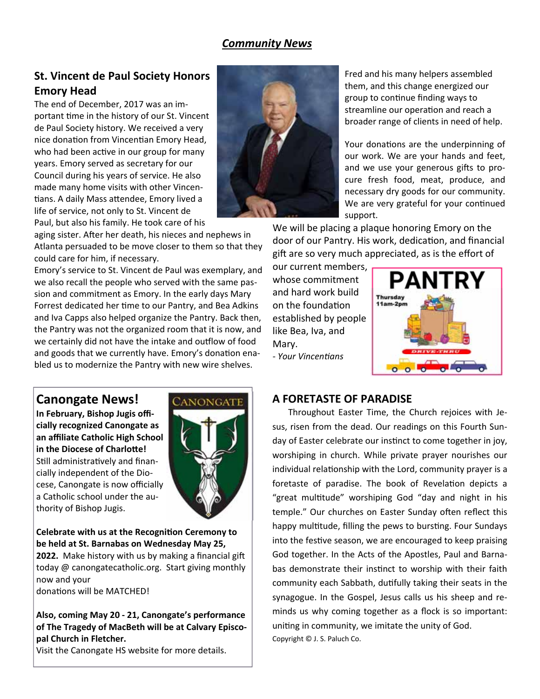#### *Community News*

#### **St. Vincent de Paul Society Honors Emory Head**

The end of December, 2017 was an im‐ portant time in the history of our St. Vincent de Paul Society history. We received a very nice donation from Vincentian Emory Head, who had been active in our group for many years. Emory served as secretary for our Council during his years of service. He also made many home visits with other Vincen‐ tians. A daily Mass attendee, Emory lived a life of service, not only to St. Vincent de Paul, but also his family. He took care of his



aging sister. After her death, his nieces and nephews in Atlanta persuaded to be move closer to them so that they could care for him, if necessary.

Emory's service to St. Vincent de Paul was exemplary, and we also recall the people who served with the same pas‐ sion and commitment as Emory. In the early days Mary Forrest dedicated her time to our Pantry, and Bea Adkins and Iva Capps also helped organize the Pantry. Back then, the Pantry was not the organized room that it is now, and we certainly did not have the intake and outflow of food and goods that we currently have. Emory's donation enabled us to modernize the Pantry with new wire shelves.

Fred and his many helpers assembled them, and this change energized our group to continue finding ways to streamline our operation and reach a broader range of clients in need of help.

Your donations are the underpinning of our work. We are your hands and feet, and we use your generous gifts to procure fresh food, meat, produce, and necessary dry goods for our community. We are very grateful for your continued support.

We will be placing a plaque honoring Emory on the door of our Pantry. His work, dedication, and financial gift are so very much appreciated, as is the effort of

our current members, whose commitment and hard work build on the foundaƟon established by people like Bea, Iva, and Mary.

*‐ Your VincenƟans*



#### **Canongate News!**

**In February, Bishop Jugis offi‐ cially recognized Canongate as an affiliate Catholic High School in the Diocese of Charlotte!** Still administratively and financially independent of the Dio‐ cese, Canongate is now officially a Catholic school under the au‐ thority of Bishop Jugis.



**Celebrate with us at the RecogniƟon Ceremony to be held at St. Barnabas on Wednesday May 25, 2022.** Make history with us by making a financial gift today @ canongatecatholic.org. Start giving monthly now and your

donations will be MATCHED!

**Also, coming May 20 ‐ 21, Canongate's performance of The Tragedy of MacBeth will be at Calvary Episco‐ pal Church in Fletcher.** 

Visit the Canongate HS website for more details.

#### **A FORETASTE OF PARADISE**

 Throughout Easter Time, the Church rejoices with Je‐ sus, risen from the dead. Our readings on this Fourth Sun‐ day of Easter celebrate our instinct to come together in joy, worshiping in church. While private prayer nourishes our individual relationship with the Lord, community prayer is a foretaste of paradise. The book of Revelation depicts a "great multitude" worshiping God "day and night in his temple." Our churches on Easter Sunday often reflect this happy multitude, filling the pews to bursting. Four Sundays into the festive season, we are encouraged to keep praising God together. In the Acts of the Apostles, Paul and Barna‐ bas demonstrate their instinct to worship with their faith community each Sabbath, duƟfully taking their seats in the synagogue. In the Gospel, Jesus calls us his sheep and re‐ minds us why coming together as a flock is so important: uniting in community, we imitate the unity of God. Copyright © J. S. Paluch Co.